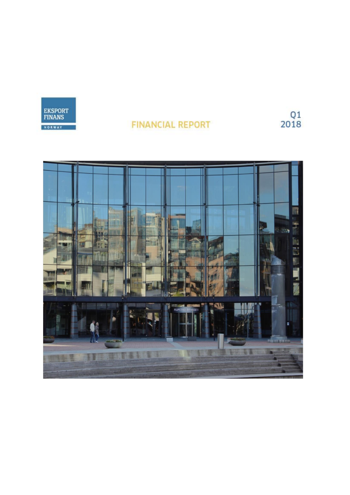

# **FINANCIAL REPORT**

 $\frac{\textsf{Q1}}{\textsf{2018}}$ 

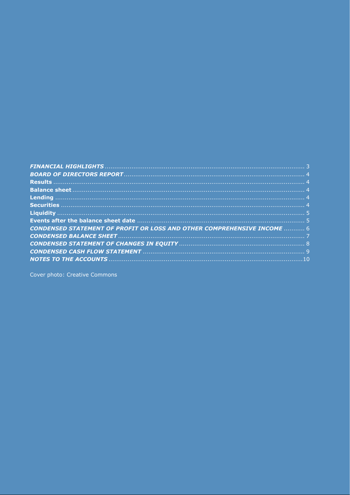| <b>CONDENSED STATEMENT OF PROFIT OR LOSS AND OTHER COMPREHENSIVE INCOME  6</b> |  |
|--------------------------------------------------------------------------------|--|
|                                                                                |  |
|                                                                                |  |
|                                                                                |  |
|                                                                                |  |

Cover photo: Creative Commons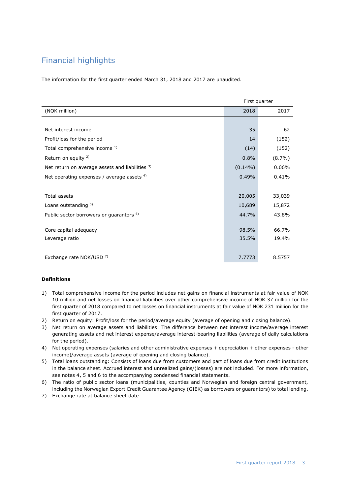# <span id="page-2-0"></span>Financial highlights

The information for the first quarter ended March 31, 2018 and 2017 are unaudited.

|                                                     | First quarter |           |
|-----------------------------------------------------|---------------|-----------|
| (NOK million)                                       | 2018          | 2017      |
|                                                     |               |           |
| Net interest income                                 | 35            | 62        |
| Profit/loss for the period                          | 14            | (152)     |
| Total comprehensive income 1)                       | (14)          | (152)     |
| Return on equity <sup>2)</sup>                      | 0.8%          | $(8.7\%)$ |
| Net return on average assets and liabilities 3)     | $(0.14\%)$    | 0.06%     |
| Net operating expenses / average assets $4$ )       | 0.49%         | 0.41%     |
|                                                     |               |           |
| <b>Total assets</b>                                 | 20,005        | 33,039    |
| Loans outstanding <sup>5)</sup>                     | 10,689        | 15,872    |
| Public sector borrowers or guarantors <sup>6)</sup> | 44.7%         | 43.8%     |
|                                                     |               |           |
| Core capital adequacy                               | 98.5%         | 66.7%     |
| Leverage ratio                                      | 35.5%         | 19.4%     |
|                                                     |               |           |
| Exchange rate NOK/USD 7)                            | 7.7773        | 8.5757    |

#### **Definitions**

- 1) Total comprehensive income for the period includes net gains on financial instruments at fair value of NOK 10 million and net losses on financial liabilities over other comprehensive income of NOK 37 million for the first quarter of 2018 compared to net losses on financial instruments at fair value of NOK 231 million for the first quarter of 2017.
- 2) Return on equity: Profit/loss for the period/average equity (average of opening and closing balance).
- 3) Net return on average assets and liabilities: The difference between net interest income/average interest generating assets and net interest expense/average interest-bearing liabilities (average of daily calculations for the period).
- 4) Net operating expenses (salaries and other administrative expenses + depreciation + other expenses other income)/average assets (average of opening and closing balance).
- 5) Total loans outstanding: Consists of loans due from customers and part of loans due from credit institutions in the balance sheet. Accrued interest and unrealized gains/(losses) are not included. For more information, see notes 4, 5 and 6 to the accompanying condensed financial statements.
- 6) The ratio of public sector loans (municipalities, counties and Norwegian and foreign central government, including the Norwegian Export Credit Guarantee Agency (GIEK) as borrowers or guarantors) to total lending.
- 7) Exchange rate at balance sheet date.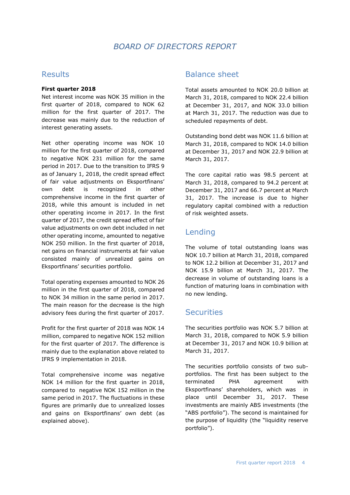## *BOARD OF DIRECTORS REPORT*

### <span id="page-3-1"></span><span id="page-3-0"></span>Results

### **First quarter 2018**

Net interest income was NOK 35 million in the first quarter of 2018, compared to NOK 62 million for the first quarter of 2017. The decrease was mainly due to the reduction of interest generating assets.

Net other operating income was NOK 10 million for the first quarter of 2018, compared to negative NOK 231 million for the same period in 2017. Due to the transition to IFRS 9 as of January 1, 2018, the credit spread effect of fair value adjustments on Eksportfinans' own debt is recognized in other comprehensive income in the first quarter of 2018, while this amount is included in net other operating income in 2017. In the first quarter of 2017, the credit spread effect of fair value adjustments on own debt included in net other operating income, amounted to negative NOK 250 million. In the first quarter of 2018, net gains on financial instruments at fair value consisted mainly of unrealized gains on Eksportfinans' securities portfolio.

Total operating expenses amounted to NOK 26 million in the first quarter of 2018, compared to NOK 34 million in the same period in 2017. The main reason for the decrease is the high advisory fees during the first quarter of 2017.

Profit for the first quarter of 2018 was NOK 14 million, compared to negative NOK 152 million for the first quarter of 2017. The difference is mainly due to the explanation above related to IFRS 9 implementation in 2018.

<span id="page-3-2"></span>Total comprehensive income was negative NOK 14 million for the first quarter in 2018, compared to negative NOK 152 million in the same period in 2017. The fluctuations in these figures are primarily due to unrealized losses and gains on Eksportfinans' own debt (as explained above).

### Balance sheet

Total assets amounted to NOK 20.0 billion at March 31, 2018, compared to NOK 22.4 billion at December 31, 2017, and NOK 33.0 billion at March 31, 2017. The reduction was due to scheduled repayments of debt.

Outstanding bond debt was NOK 11.6 billion at March 31, 2018, compared to NOK 14.0 billion at December 31, 2017 and NOK 22.9 billion at March 31, 2017.

The core capital ratio was 98.5 percent at March 31, 2018, compared to 94.2 percent at December 31, 2017 and 66.7 percent at March 31, 2017. The increase is due to higher regulatory capital combined with a reduction of risk weighted assets.

## <span id="page-3-3"></span>Lending

The volume of total outstanding loans was NOK 10.7 billion at March 31, 2018, compared to NOK 12.2 billion at December 31, 2017 and NOK 15.9 billion at March 31, 2017. The decrease in volume of outstanding loans is a function of maturing loans in combination with no new lending.

## <span id="page-3-4"></span>**Securities**

The securities portfolio was NOK 5.7 billion at March 31, 2018, compared to NOK 5.9 billion at December 31, 2017 and NOK 10.9 billion at March 31, 2017.

The securities portfolio consists of two subportfolios. The first has been subject to the terminated PHA agreement with Eksportfinans' shareholders, which was in place until December 31, 2017. These investments are mainly ABS investments (the "ABS portfolio"). The second is maintained for the purpose of liquidity (the "liquidity reserve portfolio").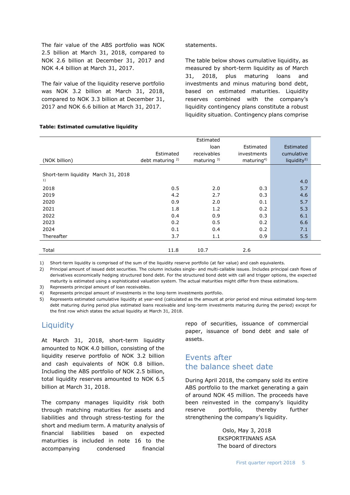The fair value of the ABS portfolio was NOK 2.5 billion at March 31, 2018, compared to NOK 2.6 billion at December 31, 2017 and NOK 4.4 billion at March 31, 2017.

The fair value of the liquidity reserve portfolio was NOK 3.2 billion at March 31, 2018, compared to NOK 3.3 billion at December 31, 2017 and NOK 6.6 billion at March 31, 2017.

**Table: Estimated cumulative liquidity**

#### statements.

The table below shows cumulative liquidity, as measured by short-term liquidity as of March 31, 2018, plus maturing loans and investments and minus maturing bond debt, based on estimated maturities. Liquidity reserves combined with the company's liquidity contingency plans constitute a robust liquidity situation. Contingency plans comprise

|                                     |                             | Estimated              |                        |                         |
|-------------------------------------|-----------------------------|------------------------|------------------------|-------------------------|
|                                     |                             | loan                   | Estimated              | Estimated               |
|                                     | Estimated                   | receivables            | investments            | cumulative              |
| (NOK billion)                       | debt maturing <sup>2)</sup> | maturing <sup>3)</sup> | maturing <sup>4)</sup> | liquidity <sup>5)</sup> |
| Short-term liquidity March 31, 2018 |                             |                        |                        |                         |
| 1)                                  |                             |                        |                        | 4.0                     |
| 2018                                | 0.5                         | 2.0                    | 0.3                    | 5.7                     |
| 2019                                | 4.2                         | 2.7                    | 0.3                    | 4.6                     |
| 2020                                | 0.9                         | 2.0                    | 0.1                    | 5.7                     |
| 2021                                | 1.8                         | 1.2                    | 0.2                    | 5.3                     |
| 2022                                | 0.4                         | 0.9                    | 0.3                    | 6.1                     |
| 2023                                | 0.2                         | 0.5                    | 0.2                    | 6.6                     |
| 2024                                | 0.1                         | 0.4                    | 0.2                    | 7.1                     |
| Thereafter                          | 3.7                         | 1.1                    | 0.9                    | 5.5                     |
|                                     |                             |                        |                        |                         |
| Total                               | 11.8                        | 10.7                   | 2.6                    |                         |

1) Short-term liquidity is comprised of the sum of the liquidity reserve portfolio (at fair value) and cash equivalents.

2) Principal amount of issued debt securities. The column includes single- and multi-callable issues. Includes principal cash flows of derivatives economically hedging structured bond debt. For the structured bond debt with call and trigger options, the expected maturity is estimated using a sophisticated valuation system. The actual maturities might differ from these estimations.

3) Represents principal amount of loan receivables.

4) Represents principal amount of investments in the long-term investments portfolio.

5) Represents estimated cumulative liquidity at year-end (calculated as the amount at prior period end minus estimated long-term debt maturing during period plus estimated loans receivable and long-term investments maturing during the period) except for the first row which states the actual liquidity at March 31, 2018.

### <span id="page-4-0"></span>**Liquidity**

At March 31, 2018, short-term liquidity amounted to NOK 4.0 billion, consisting of the liquidity reserve portfolio of NOK 3.2 billion and cash equivalents of NOK 0.8 billion. Including the ABS portfolio of NOK 2.5 billion, total liquidity reserves amounted to NOK 6.5 billion at March 31, 2018.

The company manages liquidity risk both through matching maturities for assets and liabilities and through stress-testing for the short and medium term. A maturity analysis of financial liabilities based on expected maturities is included in note 16 to the accompanying condensed financial

repo of securities, issuance of commercial paper, issuance of bond debt and sale of assets.

### <span id="page-4-1"></span>Events after the balance sheet date

During April 2018, the company sold its entire ABS portfolio to the market generating a gain of around NOK 45 million. The proceeds have been reinvested in the company's liquidity reserve portfolio, thereby further strengthening the company's liquidity.

> Oslo, May 3, 2018 EKSPORTFINANS ASA The board of directors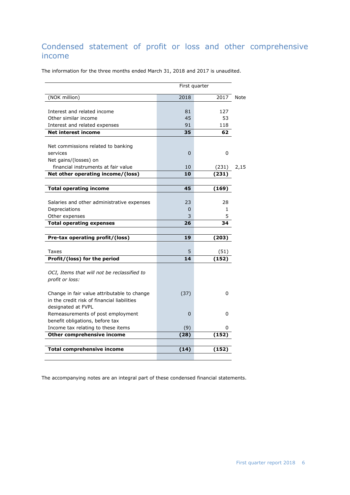# <span id="page-5-0"></span>Condensed statement of profit or loss and other comprehensive income

The information for the three months ended March 31, 2018 and 2017 is unaudited.

| First quarter                                                                                                    |          |              |      |  |
|------------------------------------------------------------------------------------------------------------------|----------|--------------|------|--|
| (NOK million)                                                                                                    | 2018     | 2017         | Note |  |
| Interest and related income                                                                                      | 81       | 127          |      |  |
| Other similar income                                                                                             | 45       | 53           |      |  |
| Interest and related expenses                                                                                    | 91       | 118          |      |  |
| <b>Net interest income</b>                                                                                       | 35       | 62           |      |  |
|                                                                                                                  |          |              |      |  |
| Net commissions related to banking                                                                               |          |              |      |  |
| services                                                                                                         | $\Omega$ | 0            |      |  |
| Net gains/(losses) on                                                                                            |          |              |      |  |
| financial instruments at fair value                                                                              | 10       | (231)        | 2,15 |  |
| Net other operating income/(loss)                                                                                | 10       | (231)        |      |  |
|                                                                                                                  |          |              |      |  |
| <b>Total operating income</b>                                                                                    | 45       | (169)        |      |  |
|                                                                                                                  |          |              |      |  |
| Salaries and other administrative expenses                                                                       | 23       | 28           |      |  |
| Depreciations                                                                                                    | 0        | $\mathbf{1}$ |      |  |
| Other expenses                                                                                                   | 3        | 5            |      |  |
| <b>Total operating expenses</b>                                                                                  | 26       | 34           |      |  |
| Pre-tax operating profit/(loss)                                                                                  | 19       | (203)        |      |  |
|                                                                                                                  |          |              |      |  |
| Taxes                                                                                                            | 5        | (51)         |      |  |
| Profit/(loss) for the period                                                                                     | 14       | (152)        |      |  |
| OCI, Items that will not be reclassified to<br>profit or loss:                                                   |          |              |      |  |
| Change in fair value attributable to change<br>in the credit risk of financial liabilities<br>designated at FVPL | (37)     | 0            |      |  |
| Remeasurements of post employment<br>benefit obligations, before tax                                             | 0        | 0            |      |  |
| Income tax relating to these items                                                                               | (9)      | 0            |      |  |
| Other comprehensive income                                                                                       | (28)     | (152)        |      |  |
|                                                                                                                  |          |              |      |  |
|                                                                                                                  |          |              |      |  |
| <b>Total comprehensive income</b>                                                                                | (14)     | (152)        |      |  |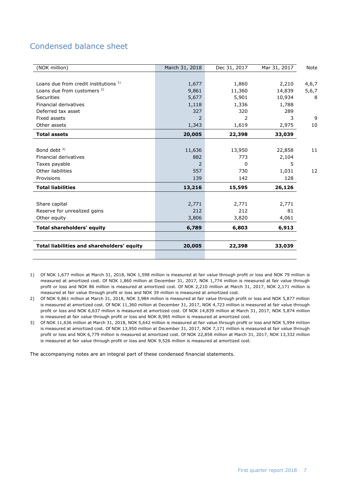# <span id="page-6-0"></span>Condensed balance sheet

| (NOK million)                              | March 31, 2018 | Dec 31, 2017 | Mar 31, 2017 | Note    |
|--------------------------------------------|----------------|--------------|--------------|---------|
|                                            |                |              |              |         |
| Loans due from credit institutions 1)      | 1,677          | 1,860        | 2,210        | 4,6,7   |
| Loans due from customers <sup>2)</sup>     | 9,861          | 11,360       | 14,839       | 5, 6, 7 |
| Securities                                 | 5,677          | 5,901        | 10,934       | 8       |
| Financial derivatives                      | 1,118          | 1,336        | 1,788        |         |
| Deferred tax asset                         | 327            | 320          | 289          |         |
| Fixed assets                               |                | 2            | 3            | 9       |
| Other assets                               | 1,343          | 1,619        | 2,975        | 10      |
| <b>Total assets</b>                        | 20,005         | 22,398       | 33,039       |         |
|                                            |                |              |              |         |
| Bond debt $3$ )                            | 11,636         | 13,950       | 22,858       | 11      |
| Financial derivatives                      | 882            | 773          | 2,104        |         |
| Taxes payable                              | 2              | 0            | 5            |         |
| Other liabilities                          | 557            | 730          | 1,031        | 12      |
| Provisions                                 | 139            | 142          | 128          |         |
| <b>Total liabilities</b>                   | 13,216         | 15,595       | 26,126       |         |
|                                            |                |              |              |         |
| Share capital                              | 2,771          | 2,771        | 2,771        |         |
| Reserve for unrealized gains               | 212            | 212          | 81           |         |
| Other equity                               | 3,806          | 3,820        | 4,061        |         |
| Total shareholders' equity                 | 6,789          | 6,803        | 6,913        |         |
|                                            |                |              |              |         |
| Total liabilities and shareholders' equity | 20,005         | 22,398       | 33,039       |         |
|                                            |                |              |              |         |

1) Of NOK 1,677 million at March 31, 2018, NOK 1,598 million is measured at fair value through profit or loss and NOK 79 million is measured at amortized cost. Of NOK 1,860 million at December 31, 2017, NOK 1,774 million is measured at fair value through profit or loss and NOK 86 million is measured at amortized cost. Of NOK 2,210 million at March 31, 2017, NOK 2,171 million is measured at fair value through profit or loss and NOK 39 million is measured at amortized cost.

2) Of NOK 9,861 million at March 31, 2018, NOK 3,984 million is measured at fair value through profit or loss and NOK 5,877 million is measured at amortized cost. Of NOK 11,360 million at December 31, 2017, NOK 4,723 million is measured at fair value through profit or loss and NOK 6,637 million is measured at amortized cost. Of NOK 14,839 million at March 31, 2017, NOK 5,874 million is measured at fair value through profit or loss and NOK 8,965 million is measured at amortized cost.

3) Of NOK 11,636 million at March 31, 2018, NOK 5,642 million is measured at fair value through profit or loss and NOK 5,994 million is measured at amortized cost. Of NOK 13,950 million at December 31, 2017, NOK 7,171 million is measured at fair value through profit or loss and NOK 6,779 million is measured at amortized cost. Of NOK 22,858 million at March 31, 2017, NOK 13,332 million is measured at fair value through profit or loss and NOK 9,526 million is measured at amortized cost.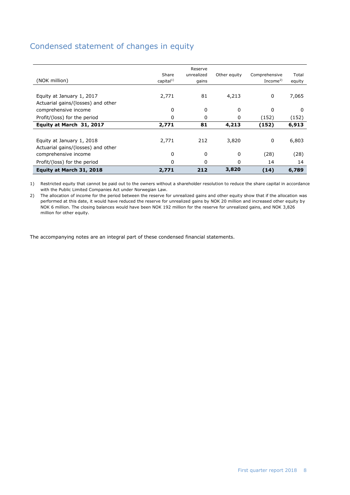# <span id="page-7-0"></span>Condensed statement of changes in equity

| Profit/(loss) for the period<br>Equity at March 31, 2018        | 0<br>2,771            | 0<br>212                       | 0<br>3,820   | 14<br>(14)                            | 14<br>6,789     |
|-----------------------------------------------------------------|-----------------------|--------------------------------|--------------|---------------------------------------|-----------------|
| comprehensive income                                            | 0                     | 0                              | 0            | (28)                                  | (28)            |
| Equity at January 1, 2018<br>Actuarial gains/(losses) and other | 2,771                 | 212                            | 3,820        | 0                                     | 6,803           |
| Equity at March 31, 2017                                        | 2,771                 | 81                             | 4,213        | (152)                                 | 6,913           |
| Profit/(loss) for the period                                    | 0                     | 0                              | 0            | (152)                                 | (152)           |
| Actuarial gains/(losses) and other<br>comprehensive income      | 0                     | 0                              | 0            | 0                                     | 0               |
| Equity at January 1, 2017                                       | 2,771                 | 81                             | 4,213        | 0                                     | 7,065           |
| (NOK million)                                                   | Share<br>capital $1)$ | Reserve<br>unrealized<br>gains | Other equity | Comprehensive<br>Income <sup>2)</sup> | Total<br>equity |

1) Restricted equity that cannot be paid out to the owners without a shareholder resolution to reduce the share capital in accordance with the Public Limited Companies Act under Norwegian Law.

2) The allocation of income for the period between the reserve for unrealized gains and other equity show that if the allocation was performed at this date, it would have reduced the reserve for unrealized gains by NOK 20 million and increased other equity by NOK 6 million. The closing balances would have been NOK 192 million for the reserve for unrealized gains, and NOK 3,826 million for other equity.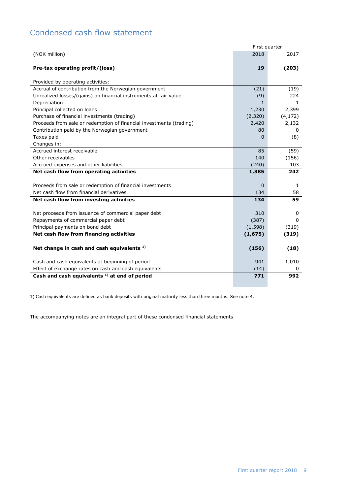# <span id="page-8-0"></span>Condensed cash flow statement

|                                                                                                           | First quarter |          |
|-----------------------------------------------------------------------------------------------------------|---------------|----------|
| (NOK million)                                                                                             | 2018          | 2017     |
| Pre-tax operating profit/(loss)                                                                           | 19            | (203)    |
| Provided by operating activities:                                                                         |               |          |
| Accrual of contribution from the Norwegian government                                                     | (21)          | (19)     |
| Unrealized losses/(gains) on financial instruments at fair value                                          | (9)           | 224      |
| Depreciation                                                                                              | 1             | 1.       |
| Principal collected on loans                                                                              | 1,230         | 2,399    |
| Purchase of financial investments (trading)                                                               | (2,320)       | (4, 172) |
| Proceeds from sale or redemption of financial investments (trading)                                       | 2,420         | 2,132    |
| Contribution paid by the Norwegian government                                                             | 80            | 0        |
| Taxes paid                                                                                                | 0             | (8)      |
| Changes in:                                                                                               |               |          |
| Accrued interest receivable                                                                               | 85            | (59)     |
| Other receivables                                                                                         | 140           | (156)    |
| Accrued expenses and other liabilities                                                                    | (240)         | 103      |
| Net cash flow from operating activities                                                                   | 1,385         | 242      |
|                                                                                                           |               |          |
| Proceeds from sale or redemption of financial investments                                                 | 0             | 1        |
| Net cash flow from financial derivatives                                                                  | 134           | 58       |
| Net cash flow from investing activities                                                                   | 134           | 59       |
|                                                                                                           |               |          |
| Net proceeds from issuance of commercial paper debt                                                       | 310           | 0        |
| Repayments of commercial paper debt                                                                       | (387)         | 0        |
| Principal payments on bond debt                                                                           | (1, 598)      | (319)    |
| Net cash flow from financing activities                                                                   | (1, 675)      | (319)    |
|                                                                                                           |               |          |
| Net change in cash and cash equivalents <sup>1)</sup>                                                     | (156)         | (18)     |
|                                                                                                           | 941           | 1,010    |
| Cash and cash equivalents at beginning of period<br>Effect of exchange rates on cash and cash equivalents | (14)          | 0        |
| Cash and cash equivalents <sup>1)</sup> at end of period                                                  | 771           | 992      |
|                                                                                                           |               |          |

1) Cash equivalents are defined as bank deposits with original maturity less than three months. See note 4.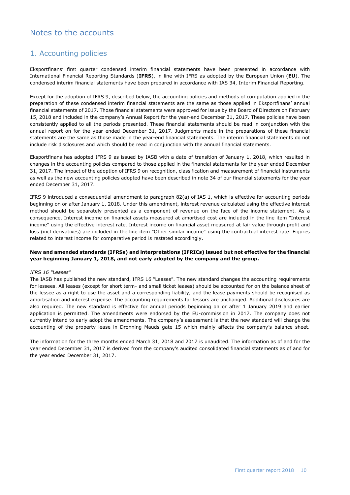## <span id="page-9-0"></span>Notes to the accounts

### 1. Accounting policies

Eksportfinans' first quarter condensed interim financial statements have been presented in accordance with International Financial Reporting Standards (**IFRS**), in line with IFRS as adopted by the European Union (**EU**). The condensed interim financial statements have been prepared in accordance with IAS 34, Interim Financial Reporting.

Except for the adoption of IFRS 9, described below, the accounting policies and methods of computation applied in the preparation of these condensed interim financial statements are the same as those applied in Eksportfinans' annual financial statements of 2017. Those financial statements were approved for issue by the Board of Directors on February 15, 2018 and included in the company's Annual Report for the year-end December 31, 2017. These policies have been consistently applied to all the periods presented. These financial statements should be read in conjunction with the annual report on for the year ended December 31, 2017. Judgments made in the preparations of these financial statements are the same as those made in the year-end financial statements. The interim financial statements do not include risk disclosures and which should be read in conjunction with the annual financial statements.

Eksportfinans has adopted IFRS 9 as issued by IASB with a date of transition of January 1, 2018, which resulted in changes in the accounting policies compared to those applied in the financial statements for the year ended December 31, 2017. The impact of the adoption of IFRS 9 on recognition, classification and measurement of financial instruments as well as the new accounting policies adopted have been described in note 34 of our financial statements for the year ended December 31, 2017.

IFRS 9 introduced a consequential amendment to paragraph 82(a) of IAS 1, which is effective for accounting periods beginning on or after January 1, 2018. Under this amendment, interest revenue calculated using the effective interest method should be separately presented as a component of revenue on the face of the income statement. As a consequence, Interest income on financial assets measured at amortised cost are included in the line item "Interest income" using the effective interest rate. Interest income on financial asset measured at fair value through profit and loss (incl derivatives) are included in the line item "Other similar income" using the contractual interest rate. Figures related to interest income for comparative period is restated accordingly.

#### **New and amended standards (IFRSs) and interpretations (IFRICs) issued but not effective for the financial year beginning January 1, 2018, and not early adopted by the company and the group.**

#### *IFRS 16 "Leases"*

The IASB has published the new standard, IFRS 16 "Leases". The new standard changes the accounting requirements for lessees. All leases (except for short term- and small ticket leases) should be accounted for on the balance sheet of the lessee as a right to use the asset and a corresponding liability, and the lease payments should be recognised as amortisation and interest expense. The accounting requirements for lessors are unchanged. Additional disclosures are also required. The new standard is effective for annual periods beginning on or after 1 January 2019 and earlier application is permitted. The amendments were endorsed by the EU-commission in 2017. The company does not currently intend to early adopt the amendments. The company's assessment is that the new standard will change the accounting of the property lease in Dronning Mauds gate 15 which mainly affects the company's balance sheet.

The information for the three months ended March 31, 2018 and 2017 is unaudited. The information as of and for the year ended December 31, 2017 is derived from the company's audited consolidated financial statements as of and for the year ended December 31, 2017.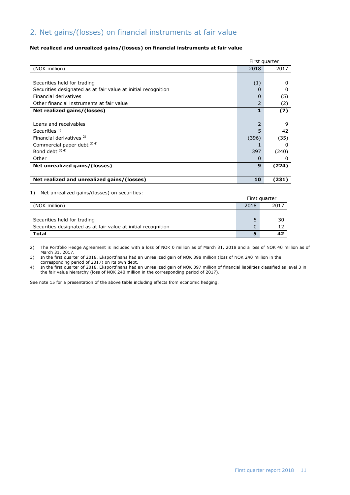## 2. Net gains/(losses) on financial instruments at fair value

#### **Net realized and unrealized gains/(losses) on financial instruments at fair value**

|                                                               |          | First quarter |
|---------------------------------------------------------------|----------|---------------|
| (NOK million)                                                 | 2018     | 2017          |
|                                                               |          |               |
| Securities held for trading                                   | (1)      | 0             |
| Securities designated as at fair value at initial recognition |          | 0             |
| Financial derivatives                                         | 0        | (5)           |
| Other financial instruments at fair value                     | 2        | (2)           |
| Net realized gains/(losses)                                   | 1        | (7)           |
|                                                               |          |               |
| Loans and receivables                                         |          | 9             |
| Securities $1$ )                                              |          | 42            |
| Financial derivatives <sup>2)</sup>                           | (396)    | (35)          |
| Commercial paper debt 3) 4)                                   |          | 0             |
| Bond debt $3)$ 4)                                             | 397      | (240)         |
| Other                                                         | $\Omega$ | 0             |
| Net unrealized gains/(losses)                                 | 9        | (224)         |
|                                                               |          |               |
| Net realized and unrealized gains/(losses)                    | 10       | (231)         |

1) Net unrealized gains/(losses) on securities:

|                                                               |      | First quarter |
|---------------------------------------------------------------|------|---------------|
| (NOK million)                                                 | 2018 | 2017          |
|                                                               |      |               |
| Securities held for trading                                   |      | 30            |
| Securities designated as at fair value at initial recognition |      |               |
| Total                                                         |      | 42            |

2) The Portfolio Hedge Agreement is included with a loss of NOK 0 million as of March 31, 2018 and a loss of NOK 40 million as of March 31, 2017.

3) In the first quarter of 2018, Eksportfinans had an unrealized gain of NOK 398 million (loss of NOK 240 million in the

corresponding period of 2017) on its own debt.

4) In the first quarter of 2018, Eksportfinans had an unrealized gain of NOK 397 million of financial liabilities classified as level 3 in the fair value hierarchy (loss of NOK 240 million in the corresponding period of 2017).

See note 15 for a presentation of the above table including effects from economic hedging.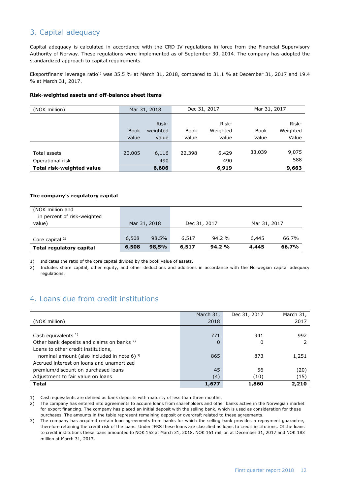## 3. Capital adequacy

Capital adequacy is calculated in accordance with the CRD IV regulations in force from the Financial Supervisory Authority of Norway. These regulations were implemented as of September 30, 2014. The company has adopted the standardized approach to capital requirements.

Eksportfinans' leverage ratio<sup>1)</sup> was 35.5 % at March 31, 2018, compared to 31.1 % at December 31, 2017 and 19.4 % at March 31, 2017.

#### **Risk-weighted assets and off-balance sheet items**

| (NOK million)                    | Dec 31, 2017<br>Mar 31, 2018 |          | Mar 31, 2017 |          |             |          |
|----------------------------------|------------------------------|----------|--------------|----------|-------------|----------|
|                                  |                              |          |              |          |             |          |
|                                  |                              | Risk-    |              | Risk-    |             | Risk-    |
|                                  | <b>Book</b>                  | weighted | <b>Book</b>  | Weighted | <b>Book</b> | Weighted |
|                                  | value                        | value    | value        | value    | value       | Value    |
|                                  |                              |          |              |          |             |          |
| Total assets                     | 20,005                       | 6,116    | 22,398       | 6,429    | 33,039      | 9,075    |
| Operational risk                 |                              | 490      |              | 490      |             | 588      |
| <b>Total risk-weighted value</b> |                              | 6,606    |              | 6,919    |             | 9,663    |

#### **The company's regulatory capital**

| (NOK million and                |       |              |              |       |              |       |
|---------------------------------|-------|--------------|--------------|-------|--------------|-------|
| in percent of risk-weighted     |       |              |              |       |              |       |
| value)                          |       | Mar 31, 2018 | Dec 31, 2017 |       | Mar 31, 2017 |       |
|                                 |       |              |              |       |              |       |
| Core capital $2$                | 6,508 | 98,5%        | 6,517        | 94.2% | 6,445        | 66.7% |
| <b>Total regulatory capital</b> | 6,508 | 98,5%        | 6,517        | 94.2% | 4,445        | 66.7% |

1) Indicates the ratio of the core capital divided by the book value of assets.

2) Includes share capital, other equity, and other deductions and additions in accordance with the Norwegian capital adequacy regulations.

### 4. Loans due from credit institutions

|                                                       | March 31, | Dec 31, 2017 | March 31, |
|-------------------------------------------------------|-----------|--------------|-----------|
| (NOK million)                                         | 2018      |              | 2017      |
|                                                       |           |              |           |
| Cash equivalents $1$ )                                | 771       | 941          | 992       |
| Other bank deposits and claims on banks <sup>2)</sup> | 0         | 0            |           |
| Loans to other credit institutions,                   |           |              |           |
| nominal amount (also included in note 6) $^{3}$       | 865       | 873          | 1,251     |
| Accrued interest on loans and unamortized             |           |              |           |
| premium/discount on purchased loans                   | 45        | 56           | (20)      |
| Adjustment to fair value on loans                     | (4)       | (10)         | (15)      |
| <b>Total</b>                                          | 1,677     | 1,860        | 2,210     |

1) Cash equivalents are defined as bank deposits with maturity of less than three months.

2) The company has entered into agreements to acquire loans from shareholders and other banks active in the Norwegian market for export financing. The company has placed an initial deposit with the selling bank, which is used as consideration for these purchases. The amounts in the table represent remaining deposit or overdraft related to these agreements.

3) The company has acquired certain loan agreements from banks for which the selling bank provides a repayment guarantee, therefore retaining the credit risk of the loans. Under IFRS these loans are classified as loans to credit institutions. Of the loans to credit institutions these loans amounted to NOK 153 at March 31, 2018, NOK 161 million at December 31, 2017 and NOK 183 million at March 31, 2017.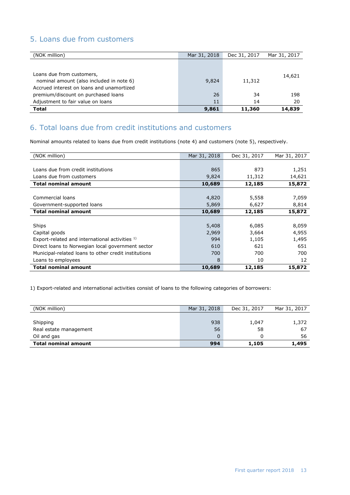### 5. Loans due from customers

| (NOK million)                                                                                                      | Mar 31, 2018 | Dec 31, 2017 | Mar 31, 2017 |
|--------------------------------------------------------------------------------------------------------------------|--------------|--------------|--------------|
|                                                                                                                    |              |              |              |
| Loans due from customers,<br>nominal amount (also included in note 6)<br>Accrued interest on loans and unamortized | 9,824        | 11,312       | 14,621       |
| premium/discount on purchased loans                                                                                | 26           | 34           | 198          |
| Adjustment to fair value on loans                                                                                  | 11           | 14           | 20           |
| <b>Total</b>                                                                                                       | 9,861        | 11,360       | 14,839       |

# 6. Total loans due from credit institutions and customers

Nominal amounts related to loans due from credit institutions (note 4) and customers (note 5), respectively.

| (NOK million)                                        | Mar 31, 2018 | Dec 31, 2017 | Mar 31, 2017 |
|------------------------------------------------------|--------------|--------------|--------------|
|                                                      |              |              |              |
| Loans due from credit institutions                   | 865          | 873          | 1,251        |
| Loans due from customers                             | 9,824        | 11,312       | 14,621       |
| <b>Total nominal amount</b>                          | 10,689       | 12,185       | 15,872       |
|                                                      |              |              |              |
| Commercial loans                                     | 4,820        | 5,558        | 7,059        |
| Government-supported loans                           | 5,869        | 6,627        | 8,814        |
| <b>Total nominal amount</b>                          | 10,689       | 12,185       | 15,872       |
|                                                      |              |              |              |
| Ships                                                | 5,408        | 6,085        | 8,059        |
| Capital goods                                        | 2,969        | 3,664        | 4,955        |
| Export-related and international activities 1)       | 994          | 1,105        | 1,495        |
| Direct loans to Norwegian local government sector    | 610          | 621          | 651          |
| Municipal-related loans to other credit institutions | 700          | 700          | 700          |
| Loans to employees                                   | 8            | 10           | 12           |
| <b>Total nominal amount</b>                          | 10,689       | 12,185       | 15,872       |

1) Export-related and international activities consist of loans to the following categories of borrowers:

| (NOK million)               | Mar 31, 2018 | Dec 31, 2017 | Mar 31, 2017 |
|-----------------------------|--------------|--------------|--------------|
|                             |              |              |              |
| Shipping                    | 938          | 1,047        | 1,372        |
| Real estate management      | 56           | 58           | 67           |
| Oil and gas                 | $\mathbf 0$  |              | 56           |
| <b>Total nominal amount</b> | 994          | 1,105        | 1,495        |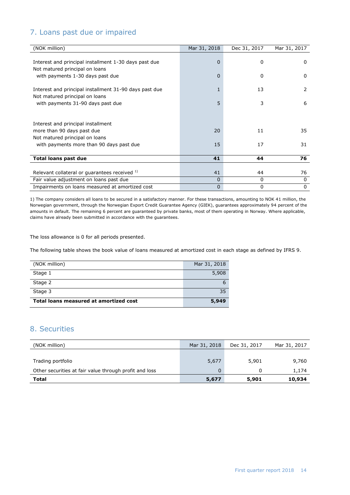## 7. Loans past due or impaired

| (NOK million)                                          | Mar 31, 2018 | Dec 31, 2017 | Mar 31, 2017 |
|--------------------------------------------------------|--------------|--------------|--------------|
|                                                        |              |              |              |
| Interest and principal installment 1-30 days past due  | 0            | 0            | 0            |
| Not matured principal on loans                         |              |              |              |
| with payments 1-30 days past due                       | 0            | 0            | 0            |
|                                                        |              |              |              |
| Interest and principal installment 31-90 days past due | 1            | 13           | 2            |
| Not matured principal on loans                         |              |              |              |
| with payments 31-90 days past due                      | 5            | 3            | 6            |
|                                                        |              |              |              |
|                                                        |              |              |              |
| Interest and principal installment                     |              |              |              |
| more than 90 days past due                             | 20           | 11           | 35           |
| Not matured principal on loans                         |              |              |              |
| with payments more than 90 days past due               | 15           | 17           | 31           |
|                                                        |              |              |              |
| <b>Total loans past due</b>                            | 41           | 44           | 76           |
|                                                        |              |              |              |
| Relevant collateral or guarantees received 1)          | 41           | 44           | 76           |
| Fair value adjustment on loans past due                | 0            | 0            | 0            |
| Impairments on loans measured at amortized cost        | 0            | 0            | $\mathbf{0}$ |

1) The company considers all loans to be secured in a satisfactory manner. For these transactions, amounting to NOK 41 million, the Norwegian government, through the Norwegian Export Credit Guarantee Agency (GIEK), guarantees approximately 94 percent of the amounts in default. The remaining 6 percent are guaranteed by private banks, most of them operating in Norway. Where applicable, claims have already been submitted in accordance with the guarantees.

The loss allowance is 0 for all periods presented.

The following table shows the book value of loans measured at amortized cost in each stage as defined by IFRS 9.

| (NOK million)                          | Mar 31, 2018 |
|----------------------------------------|--------------|
| Stage 1                                | 5,908        |
| Stage 2                                | 6            |
| Stage 3                                | 35           |
| Total loans measured at amortized cost | 5,949        |

## 8. Securities

| (NOK million)                                          | Mar 31, 2018 | Dec 31, 2017 | Mar 31, 2017 |
|--------------------------------------------------------|--------------|--------------|--------------|
|                                                        |              |              |              |
| Trading portfolio                                      | 5,677        | 5,901        | 9,760        |
| Other securities at fair value through profit and loss | 0            |              | 1,174        |
| Total                                                  | 5,677        | 5,901        | 10,934       |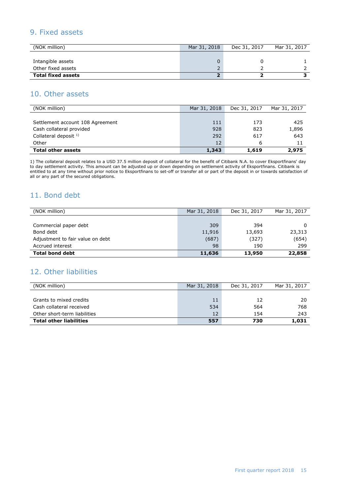### 9. Fixed assets

| (NOK million)             | Mar 31, 2018 | Dec 31, 2017 | Mar 31, 2017 |
|---------------------------|--------------|--------------|--------------|
|                           |              |              |              |
| Intangible assets         |              |              |              |
| Other fixed assets        |              |              |              |
| <b>Total fixed assets</b> |              |              |              |

### 10. Other assets

| (NOK million)                    | Mar 31, 2018 | Dec 31, 2017 | Mar 31, 2017 |
|----------------------------------|--------------|--------------|--------------|
|                                  |              |              |              |
| Settlement account 108 Agreement | 111          | 173          | 425          |
| Cash collateral provided         | 928          | 823          | 1,896        |
| Collateral deposit $1$ )         | 292          | 617          | 643          |
| Other                            | 12           | 6            | 11           |
| <b>Total other assets</b>        | 1,343        | 1,619        | 2,975        |

1) The collateral deposit relates to a USD 37.5 million deposit of collateral for the benefit of Citibank N.A. to cover Eksportfinans' day to day settlement activity. This amount can be adjusted up or down depending on settlement activity of Eksportfinans. Citibank is entitled to at any time without prior notice to Eksportfinans to set-off or transfer all or part of the deposit in or towards satisfaction of all or any part of the secured obligations.

### 11. Bond debt

| (NOK million)                    | Mar 31, 2018 | Dec 31, 2017 | Mar 31, 2017 |
|----------------------------------|--------------|--------------|--------------|
|                                  |              |              |              |
| Commercial paper debt            | 309          | 394          | 0            |
| Bond debt                        | 11,916       | 13,693       | 23,313       |
| Adjustment to fair value on debt | (687)        | (327)        | (654)        |
| Accrued interest                 | 98           | 190          | 299          |
| <b>Total bond debt</b>           | 11,636       | 13,950       | 22,858       |

### 12. Other liabilities

| (NOK million)                  | Mar 31, 2018 | Dec 31, 2017 | Mar 31, 2017 |
|--------------------------------|--------------|--------------|--------------|
|                                |              |              |              |
| Grants to mixed credits        | 11           | 12           | 20           |
| Cash collateral received       | 534          | 564          | 768          |
| Other short-term liabilities   | 12           | 154          | 243          |
| <b>Total other liabilities</b> | 557          | 730          | 1,031        |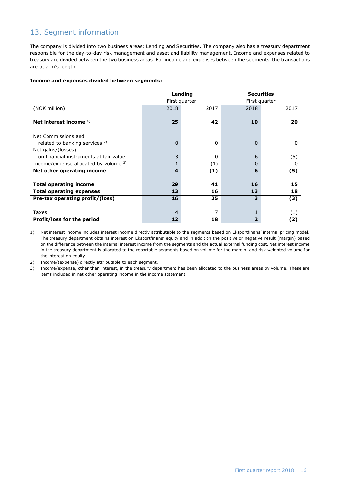## 13. Segment information

The company is divided into two business areas: Lending and Securities. The company also has a treasury department responsible for the day-to-day risk management and asset and liability management. Income and expenses related to treasury are divided between the two business areas. For income and expenses between the segments, the transactions are at arm's length.

#### **Income and expenses divided between segments:**

|                                           |                | Lending       |                | <b>Securities</b> |  |  |
|-------------------------------------------|----------------|---------------|----------------|-------------------|--|--|
|                                           |                | First quarter |                | First quarter     |  |  |
| (NOK million)                             | 2018           | 2017          | 2018           | 2017              |  |  |
|                                           |                |               |                |                   |  |  |
| Net interest income $1$ )                 | 25             | 42            | 10             | 20                |  |  |
|                                           |                |               |                |                   |  |  |
| Net Commissions and                       |                |               |                |                   |  |  |
| related to banking services <sup>2)</sup> | 0              | 0             | 0              | 0                 |  |  |
| Net gains/(losses)                        |                |               |                |                   |  |  |
| on financial instruments at fair value    | 3              | 0             | 6              | (5)               |  |  |
| Income/expense allocated by volume 3)     | 1              | (1)           | 0              | 0                 |  |  |
| Net other operating income                | 4              | (1)           | 6              | (5)               |  |  |
|                                           |                |               |                |                   |  |  |
| <b>Total operating income</b>             | 29             | 41            | 16             | 15                |  |  |
| <b>Total operating expenses</b>           | 13             | 16            | 13             | 18                |  |  |
| Pre-tax operating profit/(loss)           | 16             | 25            | з              | (3)               |  |  |
|                                           |                |               |                |                   |  |  |
| Taxes                                     | $\overline{4}$ | 7             | 1              | (1)               |  |  |
| <b>Profit/loss for the period</b>         | 12             | 18            | $\overline{2}$ | (2)               |  |  |

1) Net interest income includes interest income directly attributable to the segments based on Eksportfinans' internal pricing model. The treasury department obtains interest on Eksportfinans' equity and in addition the positive or negative result (margin) based on the difference between the internal interest income from the segments and the actual external funding cost. Net interest income in the treasury department is allocated to the reportable segments based on volume for the margin, and risk weighted volume for the interest on equity.

2) Income/(expense) directly attributable to each segment.

3) Income/expense, other than interest, in the treasury department has been allocated to the business areas by volume. These are items included in net other operating income in the income statement.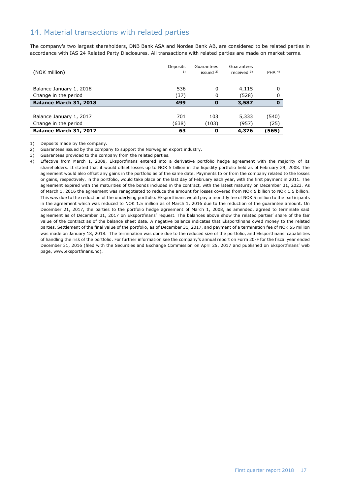### 14. Material transactions with related parties

The company's two largest shareholders, DNB Bank ASA and Nordea Bank AB, are considered to be related parties in accordance with IAS 24 Related Party Disclosures. All transactions with related parties are made on market terms.

| (NOK million)           | Deposits<br>1) | Guarantees<br>issued $2$ ) | Guarantees<br>received $3)$ | PHA $4$  |
|-------------------------|----------------|----------------------------|-----------------------------|----------|
|                         |                |                            |                             |          |
| Balance January 1, 2018 | 536            | 0                          | 4,115                       | 0        |
| Change in the period    | (37)           | 0                          | (528)                       | 0        |
| Balance March 31, 2018  | 499            | 0                          | 3,587                       | $\bf{0}$ |
|                         |                |                            |                             |          |
| Balance January 1, 2017 | 701            | 103                        | 5,333                       | (540)    |
| Change in the period    | (638)          | (103)                      | (957)                       | (25)     |
| Balance March 31, 2017  | 63             | 0                          | 4,376                       | (565)    |

1) Deposits made by the company.

2) Guarantees issued by the company to support the Norwegian export industry.

3) Guarantees provided to the company from the related parties.

4) Effective from March 1, 2008, Eksportfinans entered into a derivative portfolio hedge agreement with the majority of its shareholders. It stated that it would offset losses up to NOK 5 billion in the liquidity portfolio held as of February 29, 2008. The agreement would also offset any gains in the portfolio as of the same date. Payments to or from the company related to the losses or gains, respectively, in the portfolio, would take place on the last day of February each year, with the first payment in 2011. The agreement expired with the maturities of the bonds included in the contract, with the latest maturity on December 31, 2023. As of March 1, 2016 the agreement was renegotiated to reduce the amount for losses covered from NOK 5 billion to NOK 1.5 billion. This was due to the reduction of the underlying portfolio. Eksportfinans would pay a monthly fee of NOK 5 million to the participants in the agreement which was reduced to NOK 1.5 million as of March 1, 2016 due to the reduction of the guarantee amount. On December 21, 2017, the parties to the portfolio hedge agreement of March 1, 2008, as amended, agreed to terminate said agreement as of December 31, 2017 on Eksportfinans' request. The balances above show the related parties' share of the fair value of the contract as of the balance sheet date. A negative balance indicates that Eksportfinans owed money to the related parties. Settlement of the final value of the portfolio, as of December 31, 2017, and payment of a termination fee of NOK 55 million was made on January 18, 2018. The termination was done due to the reduced size of the portfolio, and Eksportfinans' capabilities of handling the risk of the portfolio. For further information see the company's annual report on Form 20-F for the fiscal year ended December 31, 2016 (filed with the Securities and Exchange Commission on April 25, 2017 and published on Eksportfinans' web page, [www.eksportfinans.no\)](http://www.eksportfinans.no/).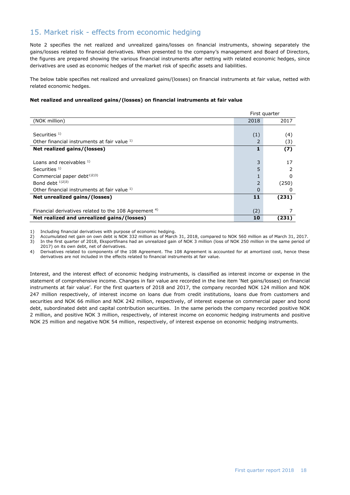## 15. Market risk - effects from economic hedging

Note 2 specifies the net realized and unrealized gains/losses on financial instruments, showing separately the gains/losses related to financial derivatives. When presented to the company's management and Board of Directors, the figures are prepared showing the various financial instruments after netting with related economic hedges, since derivatives are used as economic hedges of the market risk of specific assets and liabilities.

The below table specifies net realized and unrealized gains/(losses) on financial instruments at fair value, netted with related economic hedges.

#### **Net realized and unrealized gains/(losses) on financial instruments at fair value**

|                                                                  |                | First quarter |
|------------------------------------------------------------------|----------------|---------------|
| (NOK million)                                                    | 2018           | 2017          |
|                                                                  |                |               |
| Securities $1$ )                                                 | (1)            | (4)           |
| Other financial instruments at fair value 1)                     | $\overline{2}$ | (3)           |
| Net realized gains/(losses)                                      |                | (7)           |
|                                                                  |                |               |
| Loans and receivables $1$ )                                      | 3              | 17            |
| Securities $1$ )                                                 | 5              |               |
| Commercial paper debt <sup>1)2)3)</sup>                          |                | O             |
| Bond debt $1/2$ <sup>3</sup> )                                   | $\overline{2}$ | (250)         |
| Other financial instruments at fair value 1)                     | $\Omega$       | 0             |
| Net unrealized gains/(losses)                                    | 11             | (231)         |
|                                                                  |                |               |
| Financial derivatives related to the 108 Agreement <sup>4)</sup> | (2)            |               |
| Net realized and unrealized gains/(losses)                       | 10             | (231)         |

1) Including financial derivatives with purpose of economic hedging.

2) Accumulated net gain on own debt is NOK 332 million as of March 31, 2018, compared to NOK 560 million as of March 31, 2017.

3) In the first quarter of 2018, Eksportfinans had an unrealized gain of NOK 3 million (loss of NOK 250 million in the same period of 2017) on its own debt, net of derivatives.

4) Derivatives related to components of the 108 Agreement. The 108 Agreement is accounted for at amortized cost, hence these derivatives are not included in the effects related to financial instruments at fair value.

Interest, and the interest effect of economic hedging instruments, is classified as interest income or expense in the statement of comprehensive income. Changes in fair value are recorded in the line item 'Net gains/losses) on financial instruments at fair value'. For the first quarters of 2018 and 2017, the company recorded NOK 124 million and NOK 247 million respectively, of interest income on loans due from credit institutions, loans due from customers and securities and NOK 66 million and NOK 242 million, respectively, of interest expense on commercial paper and bond debt, subordinated debt and capital contribution securities. In the same periods the company recorded positive NOK 2 million, and positive NOK 3 million, respectively, of interest income on economic hedging instruments and positive NOK 25 million and negative NOK 54 million, respectively, of interest expense on economic hedging instruments.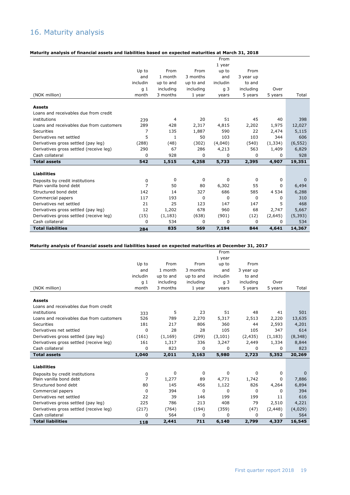# 16. Maturity analysis

#### **Maturity analysis of financial assets and liabilities based on expected maturities at March 31, 2018**

| <b>Total liabilities</b>                                   | 284            | 835       | 569       | 7,194          | 844       | 4,641    | 14,367            |
|------------------------------------------------------------|----------------|-----------|-----------|----------------|-----------|----------|-------------------|
| Cash collateral                                            | 0              | 534       | 0         | $\Omega$       | 0         | 0        | 534               |
| Derivatives gross settled (receive leg)                    | (15)           | (1, 183)  | (638)     | (901)          | (12)      | (2,645)  | (5, 393)          |
| Derivatives gross settled (pay leg)                        | 12             | 1,202     | 678       | 960            | 68        | 2,747    | 5,667             |
| Derivatives net settled                                    | 21             | 25        | 123       | 147            | 147       | 5        | 468               |
| Commercial papers                                          | 117            | 193       | 0         | 0              | 0         | 0        | 310               |
| Structured bond debt                                       | 142            | 14        | 327       | 686            | 585       | 4 5 3 4  | 6,288             |
| Deposits by credit institutions<br>Plain vanilla bond debt | 0<br>7         | 0<br>50   | 0<br>80   | 0<br>6,302     | 0<br>55   | 0<br>0   | $\Omega$<br>6,494 |
| <b>Liabilities</b>                                         |                |           |           |                |           |          |                   |
| <b>Total assets</b>                                        | 542            | 1,515     | 4,258     | 5,733          | 2,395     | 4,907    | 19,351            |
| Cash collateral                                            | 0              | 928       | 0         | 0              | 0         | 0        | 928               |
| Derivatives gross settled (receive leg)                    | 290            | 67        | 286       | 4,213          | 563       | 1,409    | 6,829             |
| Derivatives gross settled (pay leg)                        | (288)          | (48)      | (302)     | (4,040)        | (540)     | (1, 334) | (6, 552)          |
| Derivatives net settled                                    | 5              | 1         | 50        | 103            | 103       | 344      | 606               |
| Securities                                                 | 7              | 135       | 1,887     | 590            | 22        | 2,474    | 5,115             |
| Loans and receivables due from customers                   | 289            | 428       | 2,317     | 4,815          | 2,202     | 1,975    | 12,027            |
| institutions                                               | 239            | 4         | 20        | 51             | 45        | 40       | 398               |
| <b>Assets</b><br>Loans and receivables due from credit     |                |           |           |                |           |          |                   |
| (NOK million)                                              | month          | 3 months  | 1 year    | years          | 5 years   | 5 years  | Total             |
|                                                            | q <sub>1</sub> | including | including | q <sub>3</sub> | including | Over     |                   |
|                                                            | includin       | up to and | up to and | includin       | to and    |          |                   |
|                                                            | and            | 1 month   | 3 months  | and            | 3 year up |          |                   |
|                                                            | Up to          | From      | From      | up to          | From      |          |                   |
|                                                            |                |           |           | 1 year         |           |          |                   |
|                                                            |                |           |           | From           |           |          |                   |

### **Maturity analysis of financial assets and liabilities based on expected maturities at December 31, 2017**

|                                          |                |           |           | From           |           |          |          |
|------------------------------------------|----------------|-----------|-----------|----------------|-----------|----------|----------|
|                                          |                |           |           | 1 year         |           |          |          |
|                                          | Up to          | From      | From      | up to          | From      |          |          |
|                                          | and            | 1 month   | 3 months  | and            | 3 year up |          |          |
|                                          | includin       | up to and | up to and | includin       | to and    |          |          |
|                                          | q <sub>1</sub> | including | including | q <sub>3</sub> | including | Over     |          |
| (NOK million)                            | month          | 3 months  | 1 year    | years          | 5 years   | 5 years  | Total    |
| <b>Assets</b>                            |                |           |           |                |           |          |          |
| Loans and receivables due from credit    |                |           |           |                |           |          |          |
| institutions                             | 333            | 5         | 23        | 51             | 48        | 41       | 501      |
| Loans and receivables due from customers | 526            | 789       | 2,270     | 5,317          | 2,513     | 2,220    | 13,635   |
| Securities                               | 181            | 217       | 806       | 360            | 44        | 2,593    | 4,201    |
| Derivatives net settled                  | 0              | 28        | 28        | 105            | 105       | 347      | 614      |
| Derivatives gross settled (pay leg)      | (161)          | (1, 169)  | (299)     | (3, 101)       | (2, 435)  | (1, 183) | (8,348)  |
| Derivatives gross settled (receive leg)  | 161            | 1,317     | 336       | 3,247          | 2,449     | 1,334    | 8,844    |
| Cash collateral                          | $\Omega$       | 823       | 0         | 0              | 0         | 0        | 823      |
| <b>Total assets</b>                      | 1,040          | 2,011     | 3,163     | 5,980          | 2,723     | 5,352    | 20,269   |
| <b>Liabilities</b>                       |                |           |           |                |           |          |          |
| Deposits by credit institutions          | 0              | 0         | 0         | 0              | 0         | 0        | $\Omega$ |
| Plain vanilla bond debt                  | $\overline{7}$ | 1,277     | 89        | 4,771          | 1,742     | 0        | 7,886    |
| Structured bond debt                     | 80             | 145       | 456       | 1,122          | 826       | 4,264    | 6,894    |
| Commercial papers                        | 0              | 394       | 0         | 0              | $\Omega$  | 0        | 394      |
| Derivatives net settled                  | 22             | 39        | 146       | 199            | 199       | 11       | 616      |
| Derivatives gross settled (pay leg)      | 225            | 786       | 213       | 408            | 79        | 2,510    | 4,221    |
| Derivatives gross settled (receive leg)  | (217)          | (764)     | (194)     | (359)          | (47)      | (2, 448) | (4,029)  |
| Cash collateral                          | 0              | 564       | 0         | 0              | $\Omega$  | 0        | 564      |
| <b>Total liabilities</b>                 | 118            | 2,441     | 711       | 6,140          | 2,799     | 4,337    | 16,545   |
|                                          |                |           |           |                |           |          |          |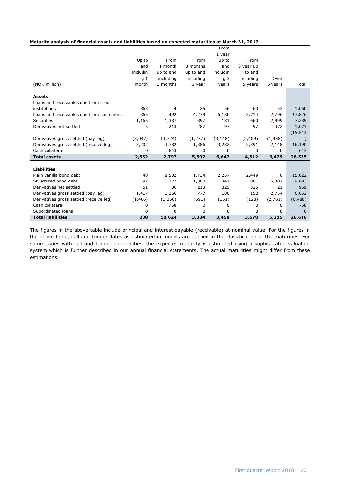|  | Maturity analysis of financial assets and liabilities based on expected maturities at March 31, 2017 |
|--|------------------------------------------------------------------------------------------------------|
|--|------------------------------------------------------------------------------------------------------|

| <b>Total liabilities</b>                               | 208            | 10,624       | 3,334        | 3,458          | 3,678        | 5,315          | 26,616          |
|--------------------------------------------------------|----------------|--------------|--------------|----------------|--------------|----------------|-----------------|
| Subordinated loans                                     | 0              | 0            | 0            | 0              | 0            | 0              | $\Omega$        |
| Cash collateral                                        | 0              | 768          | 0            | 0              | $\mathbf 0$  | 0              | 768             |
| Derivatives gross settled (receive leg)                | (1,406)        | (1,350)      | (691)        | (151)          | (128)        | (2,761)        | (6, 488)        |
| Derivatives gross settled (pay leg)                    | 1,417          | 1,366        | 777          | 186            | 152          | 2,754          | 6,652           |
| Derivatives net settled                                | 51             | 36           | 213          | 325            | 325          | 21             | 969             |
| Structured bond debt                                   | 97             | 1,272        | 1,300        | 841            | 881          | 5,301          | 9,693           |
| <b>Liabilities</b><br>Plain vanilla bond debt          | 48             | 8,532        | 1,734        | 2,257          | 2,449        | 0              | 15,022          |
|                                                        |                |              |              |                |              |                |                 |
| <b>Total assets</b>                                    | 2,552          | 2,797        | 5,597        | 6,647          | 4,512        | 6,429          | 28,535          |
| Cash collateral                                        | 0              | 643          | 0            | $\Omega$       | 0            | 0              | 643             |
| Derivatives gross settled (receive leg)                | 3,202          | 3,782        | 1,386        | 3,282          | 2,391        | 2,148          | 16,190          |
| Derivatives gross settled (pay leg)                    | (3,047)        | (3, 724)     | (1,277)      | (3, 148)       | (2,409)      | (1,938)        |                 |
|                                                        |                |              |              |                |              |                | (15, 543)       |
| Derivatives net settled                                | 5              | 213          | 287          | 97             | 97           | 372            | 1,071           |
| Loans and receivables due from customers<br>Securities | 365<br>1,165   | 492<br>1,387 | 4,279<br>897 | 6,180<br>181   | 3,714<br>660 | 2,796<br>2,999 | 17,826<br>7,289 |
| institutions                                           | 863            | 4            | 25           | 56             | 60           | 53             | 1,060           |
| Loans and receivables due from credit                  |                |              |              |                |              |                |                 |
| <b>Assets</b>                                          |                |              |              |                |              |                |                 |
| (NOK million)                                          | month          | 3 months     | 1 year       | years          | 5 years      | 5 years        | Total           |
|                                                        | q <sub>1</sub> | including    | including    | q <sub>3</sub> | including    | Over           |                 |
|                                                        | includin       | up to and    | up to and    | includin       | to and       |                |                 |
|                                                        | and            | 1 month      | 3 months     | and            | 3 year up    |                |                 |
|                                                        | Up to          | From         | From         | up to          | From         |                |                 |
|                                                        |                |              |              | 1 year         |              |                |                 |
|                                                        |                |              |              | From           |              |                |                 |

The figures in the above table include principal and interest payable (receivable) at nominal value. For the figures in the above table, call and trigger dates as estimated in models are applied in the classification of the maturities. For some issues with call and trigger optionalities, the expected maturity is estimated using a sophisticated valuation system which is further described in our annual financial statements. The actual maturities might differ from these estimations.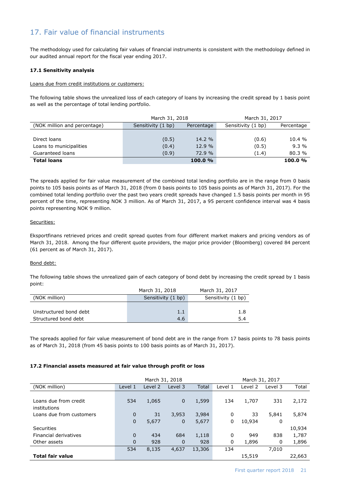## 17. Fair value of financial instruments

The methodology used for calculating fair values of financial instruments is consistent with the methodology defined in our audited annual report for the fiscal year ending 2017.

#### **17.1 Sensitivity analysis**

#### Loans due from credit institutions or customers:

The following table shows the unrealized loss of each category of loans by increasing the credit spread by 1 basis point as well as the percentage of total lending portfolio.

|                              | March 31, 2018     |            | March 31, 2017     |            |
|------------------------------|--------------------|------------|--------------------|------------|
| (NOK million and percentage) | Sensitivity (1 bp) | Percentage | Sensitivity (1 bp) | Percentage |
|                              |                    |            |                    |            |
| Direct loans                 | (0.5)              | 14.2 %     | (0.6)              | 10.4 %     |
| Loans to municipalities      | (0.4)              | 12.9 %     | (0.5)              | 9.3%       |
| Guaranteed loans             | (0.9)              | 72.9 %     | (1.4)              | 80.3%      |
| <b>Total loans</b>           |                    | 100.0%     |                    | 100.0%     |

The spreads applied for fair value measurement of the combined total lending portfolio are in the range from 0 basis points to 105 basis points as of March 31, 2018 (from 0 basis points to 105 basis points as of March 31, 2017). For the combined total lending portfolio over the past two years credit spreads have changed 1.5 basis points per month in 95 percent of the time, representing NOK 3 million. As of March 31, 2017, a 95 percent confidence interval was 4 basis points representing NOK 9 million.

#### Securities:

Eksportfinans retrieved prices and credit spread quotes from four different market makers and pricing vendors as of March 31, 2018. Among the four different quote providers, the major price provider (Bloomberg) covered 84 percent (61 percent as of March 31, 2017).

#### Bond debt:

The following table shows the unrealized gain of each category of bond debt by increasing the credit spread by 1 basis point:

|                        | March 31, 2018     | March 31, 2017     |
|------------------------|--------------------|--------------------|
| (NOK million)          | Sensitivity (1 bp) | Sensitivity (1 bp) |
|                        |                    |                    |
| Unstructured bond debt | 1.1                | 1.8                |
| Structured bond debt   | 4.6                | 5.4                |

The spreads applied for fair value measurement of bond debt are in the range from 17 basis points to 78 basis points as of March 31, 2018 (from 45 basis points to 100 basis points as of March 31, 2017).

#### **17.2 Financial assets measured at fair value through profit or loss**

|                                       |                            | March 31, 2018 |                       |                |              | March 31, 2017 |            |        |
|---------------------------------------|----------------------------|----------------|-----------------------|----------------|--------------|----------------|------------|--------|
| (NOK million)                         | Level 1                    | Level 2        | Level 3               | Total          | Level 1      | Level 2        | Level 3    | Total  |
| Loans due from credit<br>institutions | 534                        | 1,065          | $\mathbf{0}$          | 1,599          | 134          | 1,707          | 331        | 2,172  |
| Loans due from customers              | $\mathbf 0$<br>$\mathbf 0$ | 31<br>5,677    | 3,953<br>$\mathbf{0}$ | 3,984<br>5,677 | 0<br>0       | 33<br>10,934   | 5,841<br>0 | 5,874  |
| Securities                            |                            |                |                       |                |              |                |            | 10,934 |
| Financial derivatives                 | $\Omega$                   | 434            | 684                   | 1,118          | $\mathbf{0}$ | 949            | 838        | 1,787  |
| Other assets                          | $\Omega$                   | 928            | $\Omega$              | 928            | 0            | 1,896          | 0          | 1,896  |
|                                       | 534                        | 8,135          | 4,637                 | 13,306         | 134          |                | 7,010      |        |
| <b>Total fair value</b>               |                            |                |                       |                |              | 15,519         |            | 22,663 |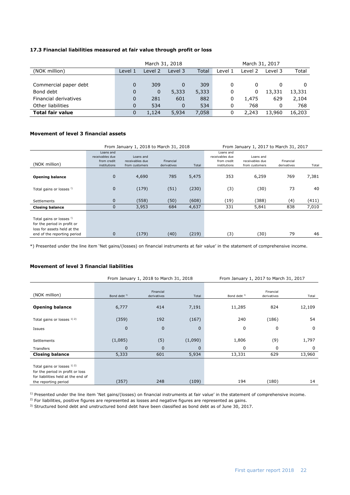### **17.3 Financial liabilities measured at fair value through profit or loss**

|                         |          | March 31, 2018 |          |       | March 31, 2017 |         |         |        |
|-------------------------|----------|----------------|----------|-------|----------------|---------|---------|--------|
| (NOK million)           | Level 1  | Level 2        | Level 3  | Total | Level 1        | Level 2 | Level 3 | Total  |
|                         |          |                |          |       |                |         |         |        |
| Commercial paper debt   | $\Omega$ | 309            | 0        | 309   | $\Omega$       | 0       |         |        |
| Bond debt               | $\Omega$ | $\mathbf 0$    | 5,333    | 5,333 | 0              | 0       | 13,331  | 13,331 |
| Financial derivatives   | $\Omega$ | 281            | 601      | 882   | 0              | 1,475   | 629     | 2,104  |
| Other liabilities       | $\Omega$ | 534            | $\Omega$ | 534   | 0              | 768     |         | 768    |
| <b>Total fair value</b> | 0        | 1,124          | 5,934    | 7,058 | 0              | 2.243   | 13,960  | 16,203 |

#### **Movement of level 3 financial assets**

|                                                                                                                       |                                                             | From January 1, 2018 to March 31, 2018         |                          |       | From January 1, 2017 to March 31, 2017                      |                                                |                          |       |
|-----------------------------------------------------------------------------------------------------------------------|-------------------------------------------------------------|------------------------------------------------|--------------------------|-------|-------------------------------------------------------------|------------------------------------------------|--------------------------|-------|
| (NOK million)                                                                                                         | Loans and<br>receivables due<br>from credit<br>institutions | Loans and<br>receivables due<br>from customers | Financial<br>derivatives | Total | Loans and<br>receivables due<br>from credit<br>institutions | Loans and<br>receivables due<br>from customers | Financial<br>derivatives | Total |
| <b>Opening balance</b>                                                                                                | $\mathbf 0$                                                 | 4,690                                          | 785                      | 5,475 | 353                                                         | 6,259                                          | 769                      | 7,381 |
| Total gains or losses !)                                                                                              | $\mathbf 0$                                                 | (179)                                          | (51)                     | (230) | (3)                                                         | (30)                                           | 73                       | 40    |
| Settlements                                                                                                           | $\overline{0}$                                              | (558)                                          | (50)                     | (608) | (19)                                                        | (388)                                          | (4)                      | (411) |
| <b>Closing balance</b>                                                                                                | $\overline{0}$                                              | 3,953                                          | 684                      | 4,637 | 331                                                         | 5,841                                          | 838                      | 7,010 |
| Total gains or losses !)<br>for the period in profit or<br>loss for assets held at the<br>end of the reporting period | $\mathbf 0$                                                 | (179)                                          | (40)                     | (219) | (3)                                                         | (30)                                           | 79                       | 46    |

\*) Presented under the line item 'Net gains/(losses) on financial instruments at fair value' in the statement of comprehensive income.

#### **Movement of level 3 financial liabilities**

|                                                                                                                               |                         | From January 1, 2018 to March 31, 2018 |          | From January 1, 2017 to March 31, 2017 |                          |          |
|-------------------------------------------------------------------------------------------------------------------------------|-------------------------|----------------------------------------|----------|----------------------------------------|--------------------------|----------|
| (NOK million)                                                                                                                 | Bond debt <sup>3)</sup> | Financial<br>derivatives               | Total    | Bond debt <sup>3)</sup>                | Financial<br>derivatives | Total    |
| <b>Opening balance</b>                                                                                                        | 6,777                   | 414                                    | 7,191    | 11,285                                 | 824                      | 12,109   |
| Total gains or losses 1) 2)                                                                                                   | (359)                   | 192                                    | (167)    | 240                                    | (186)                    | 54       |
| Issues                                                                                                                        | $\mathbf{0}$            | $\mathbf 0$                            | $\Omega$ | $\mathbf 0$                            | 0                        | 0        |
| <b>Settlements</b>                                                                                                            | (1,085)                 | (5)                                    | (1,090)  | 1,806                                  | (9)                      | 1,797    |
| Transfers                                                                                                                     | $\mathbf{0}$            | 0                                      | $\Omega$ | $\Omega$                               | 0                        | $\Omega$ |
| <b>Closing balance</b>                                                                                                        | 5,333                   | 601                                    | 5,934    | 13,331                                 | 629                      | 13,960   |
| Total gains or losses 1) 2)<br>for the period in profit or loss<br>for liabilities held at the end of<br>the reporting period | (357)                   | 248                                    | (109)    | 194                                    | (180)                    | 14       |

<sup>1)</sup> Presented under the line item 'Net gains/(losses) on financial instruments at fair value' in the statement of comprehensive income.

2) For liabilities, positive figures are represented as losses and negative figures are represented as gains.

3) Structured bond debt and unstructured bond debt have been classified as bond debt as of June 30, 2017.